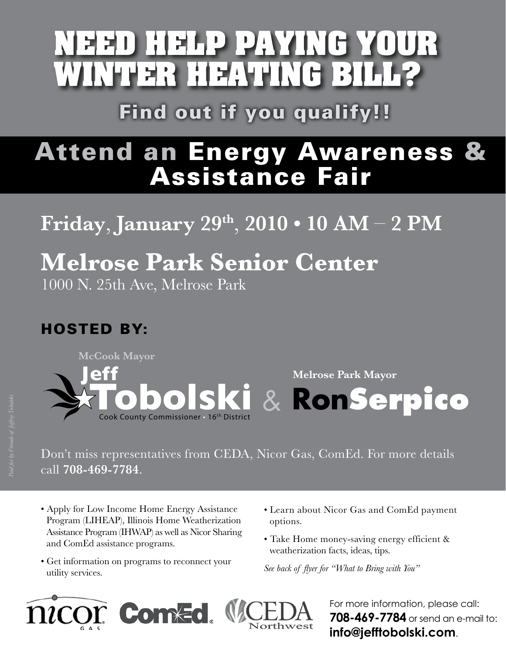# **NEED HELP PAYING YOUR WINTER HEATING BILL?**

Find out if you qualify!!

# Attend an Energy Awareness & Assistance Fair

# **Friday**, **January 29th** , **2010 • 10 AM** – **2 PM**

## **Melrose Park Senior Center** 1000 N. 25th Ave, Melrose Park

### HOSTED BY:



#### Don't miss representatives from CEDA, Nicor Gas, ComEd. For more details call **708-469-7784**.

- Apply for Low Income Home Energy Assistance Program (LIHEAP), Illinois Home Weatherization Assistance Program (IHWAP) as well as Nicor Sharing and ComEd assistance programs.
- Get information on programs to reconnect your utility services.
- Learn about Nicor Gas and ComEd payment options.
- Take Home money-saving energy efficient & weatherization facts, ideas, tips.

*See back of flyer for "What to Bring with You"*



For more information, please call: **708-469-7784** or send an e-mail to: **info@jefftobolski.com**.